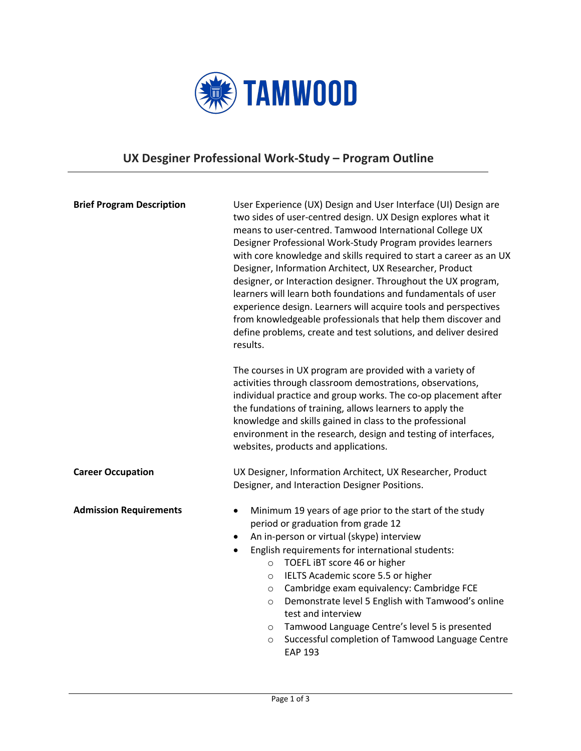

## **UX Desginer Professional Work-Study – Program Outline**

| <b>Brief Program Description</b> | User Experience (UX) Design and User Interface (UI) Design are<br>two sides of user-centred design. UX Design explores what it<br>means to user-centred. Tamwood International College UX<br>Designer Professional Work-Study Program provides learners<br>with core knowledge and skills required to start a career as an UX<br>Designer, Information Architect, UX Researcher, Product<br>designer, or Interaction designer. Throughout the UX program,<br>learners will learn both foundations and fundamentals of user<br>experience design. Learners will acquire tools and perspectives<br>from knowledgeable professionals that help them discover and<br>define problems, create and test solutions, and deliver desired<br>results. |  |
|----------------------------------|----------------------------------------------------------------------------------------------------------------------------------------------------------------------------------------------------------------------------------------------------------------------------------------------------------------------------------------------------------------------------------------------------------------------------------------------------------------------------------------------------------------------------------------------------------------------------------------------------------------------------------------------------------------------------------------------------------------------------------------------|--|
|                                  | The courses in UX program are provided with a variety of<br>activities through classroom demostrations, observations,<br>individual practice and group works. The co-op placement after<br>the fundations of training, allows learners to apply the<br>knowledge and skills gained in class to the professional<br>environment in the research, design and testing of interfaces,<br>websites, products and applications.                                                                                                                                                                                                                                                                                                                    |  |
| <b>Career Occupation</b>         | UX Designer, Information Architect, UX Researcher, Product<br>Designer, and Interaction Designer Positions.                                                                                                                                                                                                                                                                                                                                                                                                                                                                                                                                                                                                                                  |  |
| <b>Admission Requirements</b>    | Minimum 19 years of age prior to the start of the study<br>$\bullet$<br>period or graduation from grade 12<br>An in-person or virtual (skype) interview<br>$\bullet$<br>English requirements for international students:<br>$\bullet$<br>TOEFL IBT score 46 or higher<br>$\circ$<br>IELTS Academic score 5.5 or higher<br>$\circ$<br>Cambridge exam equivalency: Cambridge FCE<br>$\circ$<br>Demonstrate level 5 English with Tamwood's online<br>$\circ$<br>test and interview<br>Tamwood Language Centre's level 5 is presented<br>$\circ$<br>Successful completion of Tamwood Language Centre<br>$\circ$<br><b>EAP 193</b>                                                                                                                |  |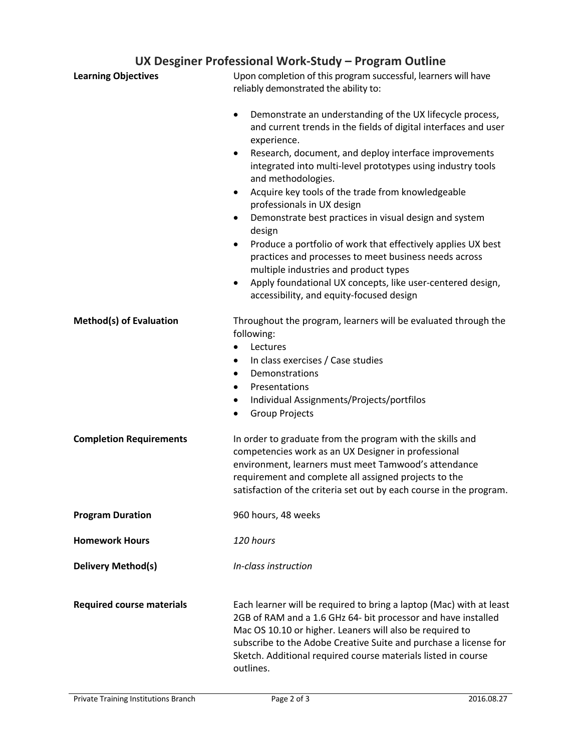## **UX Desginer Professional Work-Study – Program Outline**

| <b>Learning Objectives</b>       | Upon completion of this program successful, learners will have<br>reliably demonstrated the ability to:                                                                                                                                                                                                                                                                                                                                                                                                                                                                                                                                                                                                                                                                                    |
|----------------------------------|--------------------------------------------------------------------------------------------------------------------------------------------------------------------------------------------------------------------------------------------------------------------------------------------------------------------------------------------------------------------------------------------------------------------------------------------------------------------------------------------------------------------------------------------------------------------------------------------------------------------------------------------------------------------------------------------------------------------------------------------------------------------------------------------|
|                                  | Demonstrate an understanding of the UX lifecycle process,<br>$\bullet$<br>and current trends in the fields of digital interfaces and user<br>experience.<br>Research, document, and deploy interface improvements<br>٠<br>integrated into multi-level prototypes using industry tools<br>and methodologies.<br>Acquire key tools of the trade from knowledgeable<br>$\bullet$<br>professionals in UX design<br>Demonstrate best practices in visual design and system<br>٠<br>design<br>Produce a portfolio of work that effectively applies UX best<br>$\bullet$<br>practices and processes to meet business needs across<br>multiple industries and product types<br>Apply foundational UX concepts, like user-centered design,<br>$\bullet$<br>accessibility, and equity-focused design |
| <b>Method(s) of Evaluation</b>   | Throughout the program, learners will be evaluated through the<br>following:<br>Lectures<br>In class exercises / Case studies<br>$\bullet$<br>Demonstrations<br>$\bullet$<br>Presentations<br>$\bullet$<br>Individual Assignments/Projects/portfilos<br>$\bullet$<br><b>Group Projects</b><br>$\bullet$                                                                                                                                                                                                                                                                                                                                                                                                                                                                                    |
| <b>Completion Requirements</b>   | In order to graduate from the program with the skills and<br>competencies work as an UX Designer in professional<br>environment, learners must meet Tamwood's attendance<br>requirement and complete all assigned projects to the<br>satisfaction of the criteria set out by each course in the program.                                                                                                                                                                                                                                                                                                                                                                                                                                                                                   |
| <b>Program Duration</b>          | 960 hours, 48 weeks                                                                                                                                                                                                                                                                                                                                                                                                                                                                                                                                                                                                                                                                                                                                                                        |
| <b>Homework Hours</b>            | 120 hours                                                                                                                                                                                                                                                                                                                                                                                                                                                                                                                                                                                                                                                                                                                                                                                  |
| <b>Delivery Method(s)</b>        | In-class instruction                                                                                                                                                                                                                                                                                                                                                                                                                                                                                                                                                                                                                                                                                                                                                                       |
| <b>Required course materials</b> | Each learner will be required to bring a laptop (Mac) with at least<br>2GB of RAM and a 1.6 GHz 64- bit processor and have installed<br>Mac OS 10.10 or higher. Leaners will also be required to<br>subscribe to the Adobe Creative Suite and purchase a license for<br>Sketch. Additional required course materials listed in course<br>outlines.                                                                                                                                                                                                                                                                                                                                                                                                                                         |